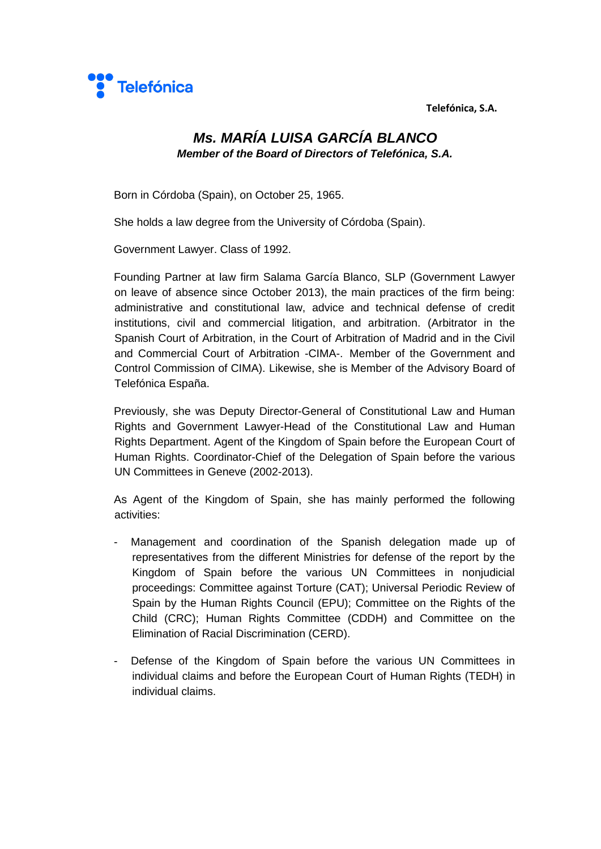**Telefónica, S.A.** 



## *Ms. MARÍA LUISA GARCÍA BLANCO Member of the Board of Directors of Telefónica, S.A.*

Born in Córdoba (Spain), on October 25, 1965.

She holds a law degree from the University of Córdoba (Spain).

Government Lawyer. Class of 1992.

Founding Partner at law firm Salama García Blanco, SLP (Government Lawyer on leave of absence since October 2013), the main practices of the firm being: administrative and constitutional law, advice and technical defense of credit institutions, civil and commercial litigation, and arbitration. (Arbitrator in the Spanish Court of Arbitration, in the Court of Arbitration of Madrid and in the Civil and Commercial Court of Arbitration -CIMA-. Member of the Government and Control Commission of CIMA). Likewise, she is Member of the Advisory Board of Telefónica España.

Previously, she was Deputy Director-General of Constitutional Law and Human Rights and Government Lawyer-Head of the Constitutional Law and Human Rights Department. Agent of the Kingdom of Spain before the European Court of Human Rights. Coordinator-Chief of the Delegation of Spain before the various UN Committees in Geneve (2002-2013).

As Agent of the Kingdom of Spain, she has mainly performed the following activities:

- Management and coordination of the Spanish delegation made up of representatives from the different Ministries for defense of the report by the Kingdom of Spain before the various UN Committees in nonjudicial proceedings: Committee against Torture (CAT); Universal Periodic Review of Spain by the Human Rights Council (EPU); Committee on the Rights of the Child (CRC); Human Rights Committee (CDDH) and Committee on the Elimination of Racial Discrimination (CERD).
- Defense of the Kingdom of Spain before the various UN Committees in individual claims and before the European Court of Human Rights (TEDH) in individual claims.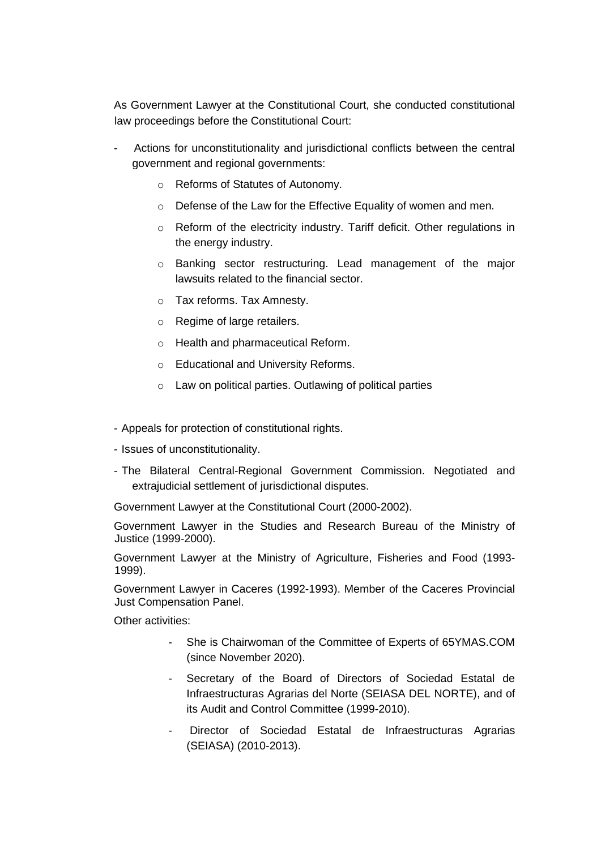As Government Lawyer at the Constitutional Court, she conducted constitutional law proceedings before the Constitutional Court:

- Actions for unconstitutionality and jurisdictional conflicts between the central government and regional governments:
	- o Reforms of Statutes of Autonomy.
	- o Defense of the Law for the Effective Equality of women and men.
	- o Reform of the electricity industry. Tariff deficit. Other regulations in the energy industry.
	- o Banking sector restructuring. Lead management of the major lawsuits related to the financial sector.
	- o Tax reforms. Tax Amnesty.
	- o Regime of large retailers.
	- o Health and pharmaceutical Reform.
	- o Educational and University Reforms.
	- o Law on political parties. Outlawing of political parties
- Appeals for protection of constitutional rights.
- Issues of unconstitutionality.
- The Bilateral Central-Regional Government Commission. Negotiated and extrajudicial settlement of jurisdictional disputes.

Government Lawyer at the Constitutional Court (2000-2002).

Government Lawyer in the Studies and Research Bureau of the Ministry of Justice (1999-2000).

Government Lawyer at the Ministry of Agriculture, Fisheries and Food (1993- 1999).

Government Lawyer in Caceres (1992-1993). Member of the Caceres Provincial Just Compensation Panel.

Other activities:

- She is Chairwoman of the Committee of Experts of 65YMAS.COM (since November 2020).
- Secretary of the Board of Directors of Sociedad Estatal de Infraestructuras Agrarias del Norte (SEIASA DEL NORTE), and of its Audit and Control Committee (1999-2010).
- Director of Sociedad Estatal de Infraestructuras Agrarias (SEIASA) (2010-2013).